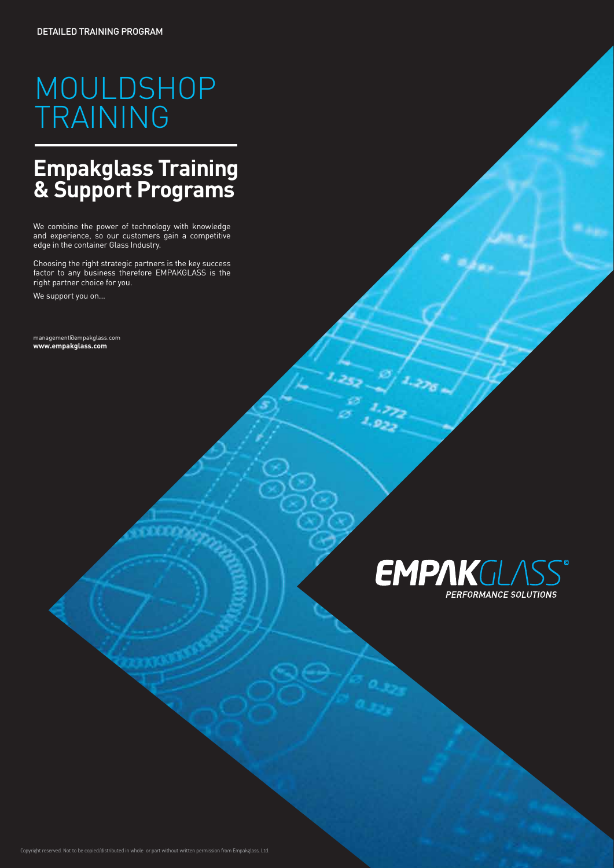# MOULDSHOP TRAINING

## **Empakglass Training & Support Programs**

We combine the power of technology with knowledge and experience, so our customers gain a competitive edge in the container Glass Industry.

Choosing the right strategic partners is the key success factor to any business therefore EMPAKGLASS is the right partner choice for you.

We support you on...

management@empakglass.com **www.empakglass.com**

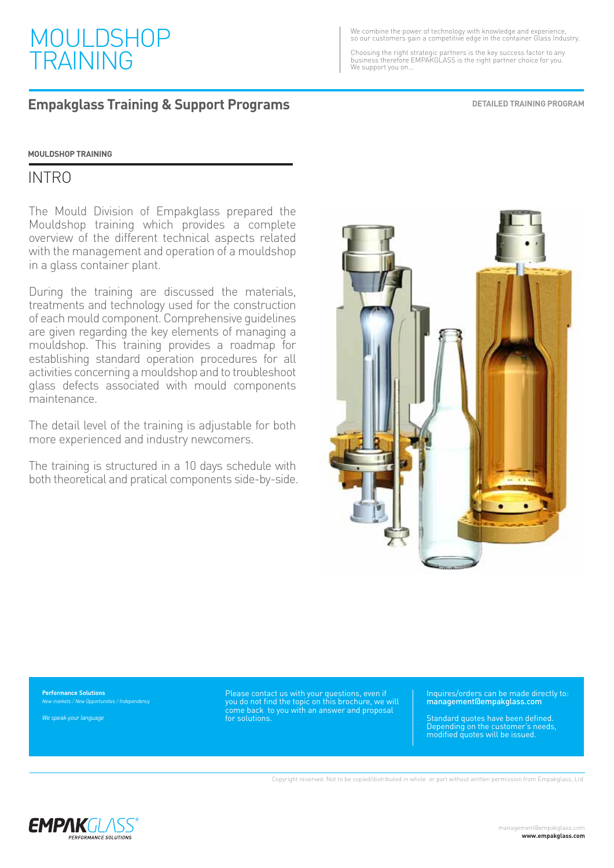

#### **Empakglass Training & Support Programs**

We combine the power of technology with knowledge and experience, so our customers gain a competitive edge in the container Glass Industry.

Choosing the right strategic partners is the key success factor to any business therefore EMPAKGLASS is the right partner choice for you. We support you on...

**DETAILED TRAINING PROGRAM**

**MOULDSHOP TRAINING**

#### INTRO

The Mould Division of Empakglass prepared the Mouldshop training which provides a complete overview of the different technical aspects related with the management and operation of a mouldshop in a glass container plant.

During the training are discussed the materials, treatments and technology used for the construction of each mould component. Comprehensive guidelines are given regarding the key elements of managing a mouldshop. This training provides a roadmap for establishing standard operation procedures for all activities concerning a mouldshop and to troubleshoot glass defects associated with mould components maintenance.

The detail level of the training is adjustable for both more experienced and industry newcomers.

The training is structured in a 10 days schedule with both theoretical and pratical components side-by-side.



**Performance Solutions** *New markets / New Opportunities / Independency*

*We speak your language*

Please contact us with your questions, even if you do not find the topic on this brochure, we will come back to you with an answer and proposal for solutions.

Inquires/orders can be made directly to: management@empakglass.com

Standard quotes have been defined. Depending on the customer's needs, modified quotes will be issued.

Copyright reserved. Not to be copied/distributed in whole or part without written permission from Empakglass, Ltd.

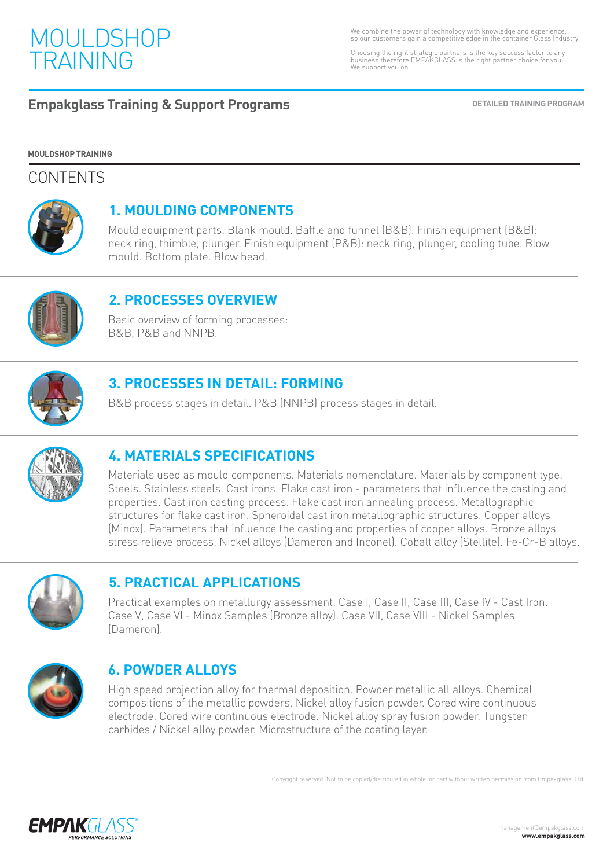

We combine the power of technology with knowledge and experience, so our customers gain a competitive edge in the container Glass Industry.

Choosing the right strategic partners is the key success factor to any business therefore EMPAKGLASS is the right partner choice for you. We support you on.

#### **Empakglass Training & Support Programs DETAILLED TRAINING PROGRAM**

#### **MOULDSHOP TRAINING**

#### **CONTENTS**



#### **1. MOULDING COMPONENTS**

Mould equipment parts. Blank mould. Baffle and funnel (B&B). Finish equipment (B&B): neck ring, thimble, plunger. Finish equipment (P&B): neck ring, plunger, cooling tube. Blow mould. Bottom plate. Blow head.



#### **2. PROCESSES OVERVIEW**

Basic overview of forming processes: B&B, P&B and NNPB.



#### **3. PROCESSES IN DETAIL: FORMING**

B&B process stages in detail. P&B (NNPB) process stages in detail.



### **4. MATERIALS SPECIFICATIONS**

Materials used as mould components. Materials nomenclature. Materials by component type. Steels. Stainless steels. Cast irons. Flake cast iron - parameters that influence the casting and properties. Cast iron casting process. Flake cast iron annealing process. Metallographic structures for flake cast iron. Spheroidal cast iron metallographic structures. Copper alloys (Minox). Parameters that influence the casting and properties of copper alloys. Bronze alloys stress relieve process. Nickel alloys (Dameron and Inconel). Cobalt alloy (Stellite). Fe-Cr-B alloys.



#### **5. PRACTICAL APPLICATIONS**

Practical examples on metallurgy assessment. Case I, Case II, Case III, Case IV - Cast Iron. Case V, Case VI - Minox Samples (Bronze alloy). Case VII, Case VIII - Nickel Samples (Dameron).



#### **6. POWDER ALLOYS**

High speed projection alloy for thermal deposition. Powder metallic all alloys. Chemical compositions of the metallic powders. Nickel alloy fusion powder. Cored wire continuous electrode. Cored wire continuous electrode. Nickel alloy spray fusion powder. Tungsten carbides / Nickel alloy powder. Microstructure of the coating layer.

Copyright reserved. Not to be copied/distributed in whole or part without written permission from Empakglass, Ltd.

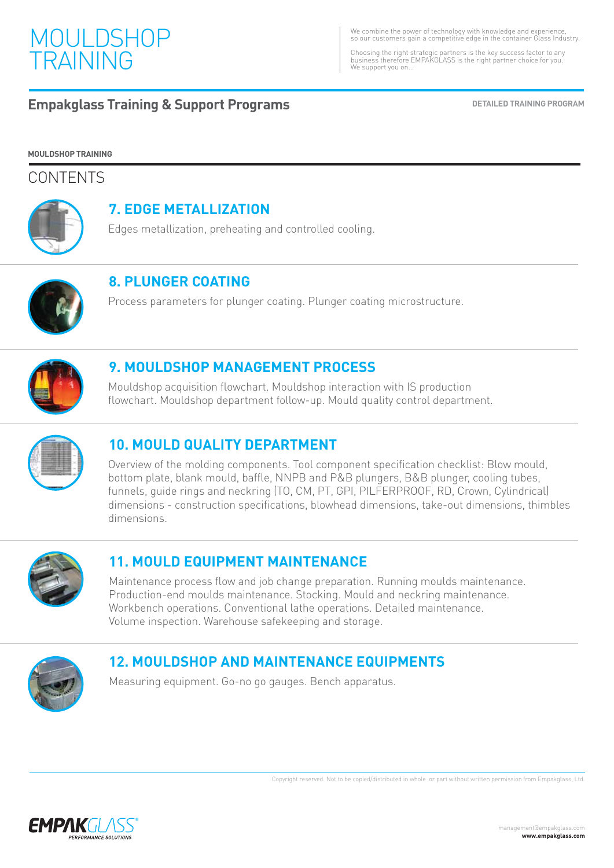

We combine the power of technology with knowledge and experience, so our customers gain a competitive edge in the container Glass Industry.

Choosing the right strategic partners is the key success factor to any business therefore EMPAKGLASS is the right partner choice for you. We support you on...

#### **Empakglass Training & Support Programs DETAILED TRAINING PROGRAM**

**MOULDSHOP TRAINING**

#### **CONTENTS**



#### **7. EDGE METALLIZATION**

Edges metallization, preheating and controlled cooling.



#### **8. PLUNGER COATING**

Process parameters for plunger coating. Plunger coating microstructure.



#### **9. MOULDSHOP MANAGEMENT PROCESS**

Mouldshop acquisition flowchart. Mouldshop interaction with IS production flowchart. Mouldshop department follow-up. Mould quality control department.



#### **10. MOULD QUALITY DEPARTMENT**

Overview of the molding components. Tool component specification checklist: Blow mould, bottom plate, blank mould, baffle, NNPB and P&B plungers, B&B plunger, cooling tubes, funnels, guide rings and neckring (TO, CM, PT, GPI, PILFERPROOF, RD, Crown, Cylindrical) dimensions - construction specifications, blowhead dimensions, take-out dimensions, thimbles dimensions.



### **11. MOULD EQUIPMENT MAINTENANCE**

Maintenance process flow and job change preparation. Running moulds maintenance. Production-end moulds maintenance. Stocking. Mould and neckring maintenance. Workbench operations. Conventional lathe operations. Detailed maintenance. Volume inspection. Warehouse safekeeping and storage.



### **12. MOULDSHOP AND MAINTENANCE EQUIPMENTS**

Measuring equipment. Go-no go gauges. Bench apparatus.